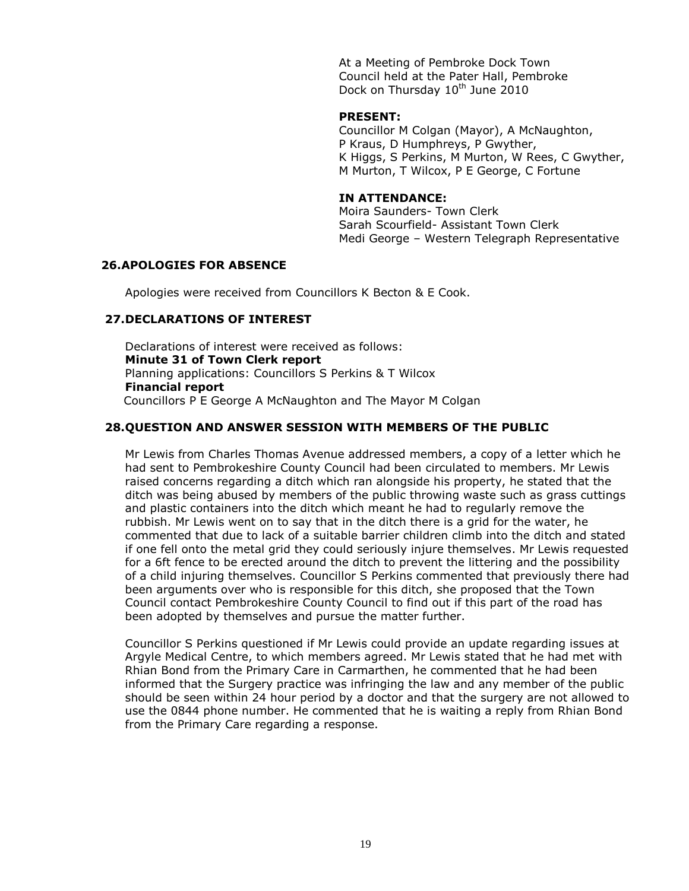At a Meeting of Pembroke Dock Town Council held at the Pater Hall, Pembroke Dock on Thursday 10<sup>th</sup> June 2010

#### **PRESENT:**

Councillor M Colgan (Mayor), A McNaughton, P Kraus, D Humphreys, P Gwyther, K Higgs, S Perkins, M Murton, W Rees, C Gwyther, M Murton, T Wilcox, P E George, C Fortune

## **IN ATTENDANCE:**

Moira Saunders- Town Clerk Sarah Scourfield- Assistant Town Clerk Medi George – Western Telegraph Representative

#### **26.APOLOGIES FOR ABSENCE**

Apologies were received from Councillors K Becton & E Cook.

#### **27.DECLARATIONS OF INTEREST**

Declarations of interest were received as follows: **Minute 31 of Town Clerk report** Planning applications: Councillors S Perkins & T Wilcox **Financial report** Councillors P E George A McNaughton and The Mayor M Colgan

## **28.QUESTION AND ANSWER SESSION WITH MEMBERS OF THE PUBLIC**

Mr Lewis from Charles Thomas Avenue addressed members, a copy of a letter which he had sent to Pembrokeshire County Council had been circulated to members. Mr Lewis raised concerns regarding a ditch which ran alongside his property, he stated that the ditch was being abused by members of the public throwing waste such as grass cuttings and plastic containers into the ditch which meant he had to regularly remove the rubbish. Mr Lewis went on to say that in the ditch there is a grid for the water, he commented that due to lack of a suitable barrier children climb into the ditch and stated if one fell onto the metal grid they could seriously injure themselves. Mr Lewis requested for a 6ft fence to be erected around the ditch to prevent the littering and the possibility of a child injuring themselves. Councillor S Perkins commented that previously there had been arguments over who is responsible for this ditch, she proposed that the Town Council contact Pembrokeshire County Council to find out if this part of the road has been adopted by themselves and pursue the matter further.

Councillor S Perkins questioned if Mr Lewis could provide an update regarding issues at Argyle Medical Centre, to which members agreed. Mr Lewis stated that he had met with Rhian Bond from the Primary Care in Carmarthen, he commented that he had been informed that the Surgery practice was infringing the law and any member of the public should be seen within 24 hour period by a doctor and that the surgery are not allowed to use the 0844 phone number. He commented that he is waiting a reply from Rhian Bond from the Primary Care regarding a response.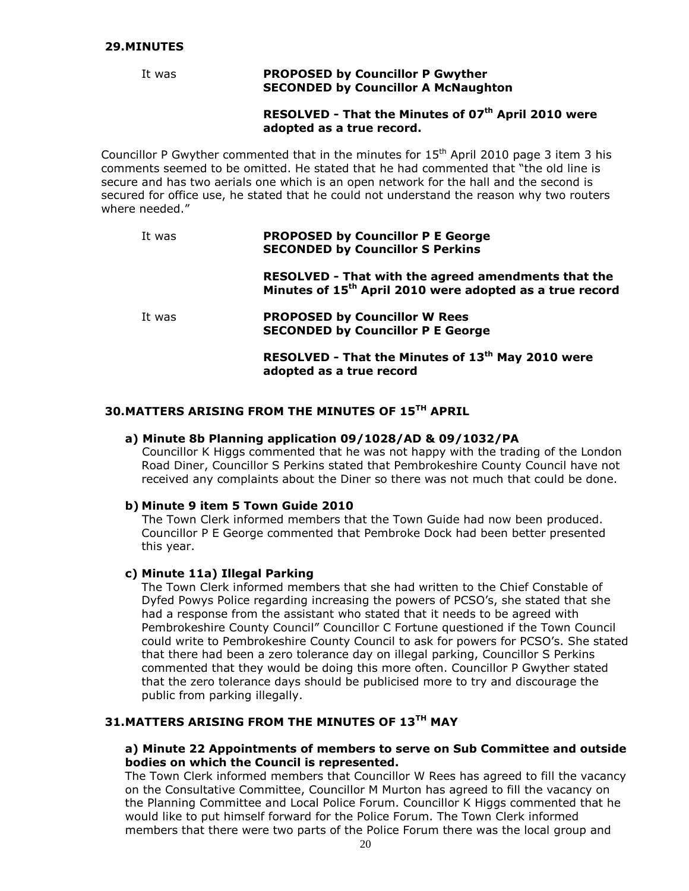#### **29.MINUTES**

#### It was **PROPOSED by Councillor P Gwyther SECONDED by Councillor A McNaughton**

## **RESOLVED - That the Minutes of 07th April 2010 were adopted as a true record.**

Councillor P Gwyther commented that in the minutes for  $15<sup>th</sup>$  April 2010 page 3 item 3 his comments seemed to be omitted. He stated that he had commented that "the old line is secure and has two aerials one which is an open network for the hall and the second is secured for office use, he stated that he could not understand the reason why two routers where needed."

| It was | <b>PROPOSED by Councillor P E George</b><br><b>SECONDED by Councillor S Perkins</b>                                         |
|--------|-----------------------------------------------------------------------------------------------------------------------------|
|        | RESOLVED - That with the agreed amendments that the<br>Minutes of 15 <sup>th</sup> April 2010 were adopted as a true record |
| It was | <b>PROPOSED by Councillor W Rees</b><br><b>SECONDED by Councillor P E George</b>                                            |
|        | RESOLVED - That the Minutes of 13 <sup>th</sup> May 2010 were<br>adopted as a true record                                   |
|        |                                                                                                                             |

# **30.MATTERS ARISING FROM THE MINUTES OF 15TH APRIL**

#### **a) Minute 8b Planning application 09/1028/AD & 09/1032/PA**

Councillor K Higgs commented that he was not happy with the trading of the London Road Diner, Councillor S Perkins stated that Pembrokeshire County Council have not received any complaints about the Diner so there was not much that could be done.

#### **b) Minute 9 item 5 Town Guide 2010**

The Town Clerk informed members that the Town Guide had now been produced. Councillor P E George commented that Pembroke Dock had been better presented this year.

#### **c) Minute 11a) Illegal Parking**

The Town Clerk informed members that she had written to the Chief Constable of Dyfed Powys Police regarding increasing the powers of PCSO's, she stated that she had a response from the assistant who stated that it needs to be agreed with Pembrokeshire County Council" Councillor C Fortune questioned if the Town Council could write to Pembrokeshire County Council to ask for powers for PCSO's. She stated that there had been a zero tolerance day on illegal parking, Councillor S Perkins commented that they would be doing this more often. Councillor P Gwyther stated that the zero tolerance days should be publicised more to try and discourage the public from parking illegally.

## **31.MATTERS ARISING FROM THE MINUTES OF 13TH MAY**

#### **a) Minute 22 Appointments of members to serve on Sub Committee and outside bodies on which the Council is represented.**

The Town Clerk informed members that Councillor W Rees has agreed to fill the vacancy on the Consultative Committee, Councillor M Murton has agreed to fill the vacancy on the Planning Committee and Local Police Forum. Councillor K Higgs commented that he would like to put himself forward for the Police Forum. The Town Clerk informed members that there were two parts of the Police Forum there was the local group and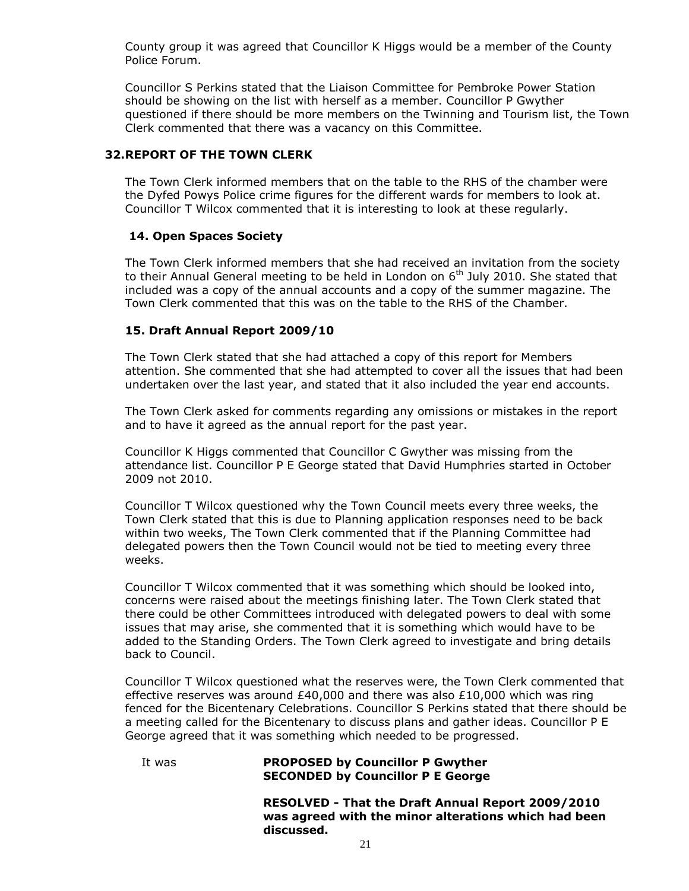County group it was agreed that Councillor K Higgs would be a member of the County Police Forum.

Councillor S Perkins stated that the Liaison Committee for Pembroke Power Station should be showing on the list with herself as a member. Councillor P Gwyther questioned if there should be more members on the Twinning and Tourism list, the Town Clerk commented that there was a vacancy on this Committee.

## **32.REPORT OF THE TOWN CLERK**

The Town Clerk informed members that on the table to the RHS of the chamber were the Dyfed Powys Police crime figures for the different wards for members to look at. Councillor T Wilcox commented that it is interesting to look at these regularly.

## **14. Open Spaces Society**

The Town Clerk informed members that she had received an invitation from the society to their Annual General meeting to be held in London on  $6<sup>th</sup>$  July 2010. She stated that included was a copy of the annual accounts and a copy of the summer magazine. The Town Clerk commented that this was on the table to the RHS of the Chamber.

## **15. Draft Annual Report 2009/10**

The Town Clerk stated that she had attached a copy of this report for Members attention. She commented that she had attempted to cover all the issues that had been undertaken over the last year, and stated that it also included the year end accounts.

The Town Clerk asked for comments regarding any omissions or mistakes in the report and to have it agreed as the annual report for the past year.

Councillor K Higgs commented that Councillor C Gwyther was missing from the attendance list. Councillor P E George stated that David Humphries started in October 2009 not 2010.

Councillor T Wilcox questioned why the Town Council meets every three weeks, the Town Clerk stated that this is due to Planning application responses need to be back within two weeks, The Town Clerk commented that if the Planning Committee had delegated powers then the Town Council would not be tied to meeting every three weeks.

Councillor T Wilcox commented that it was something which should be looked into, concerns were raised about the meetings finishing later. The Town Clerk stated that there could be other Committees introduced with delegated powers to deal with some issues that may arise, she commented that it is something which would have to be added to the Standing Orders. The Town Clerk agreed to investigate and bring details back to Council.

Councillor T Wilcox questioned what the reserves were, the Town Clerk commented that effective reserves was around £40,000 and there was also £10,000 which was ring fenced for the Bicentenary Celebrations. Councillor S Perkins stated that there should be a meeting called for the Bicentenary to discuss plans and gather ideas. Councillor P E George agreed that it was something which needed to be progressed.

#### It was **PROPOSED by Councillor P Gwyther SECONDED by Councillor P E George**

**RESOLVED - That the Draft Annual Report 2009/2010 was agreed with the minor alterations which had been discussed.**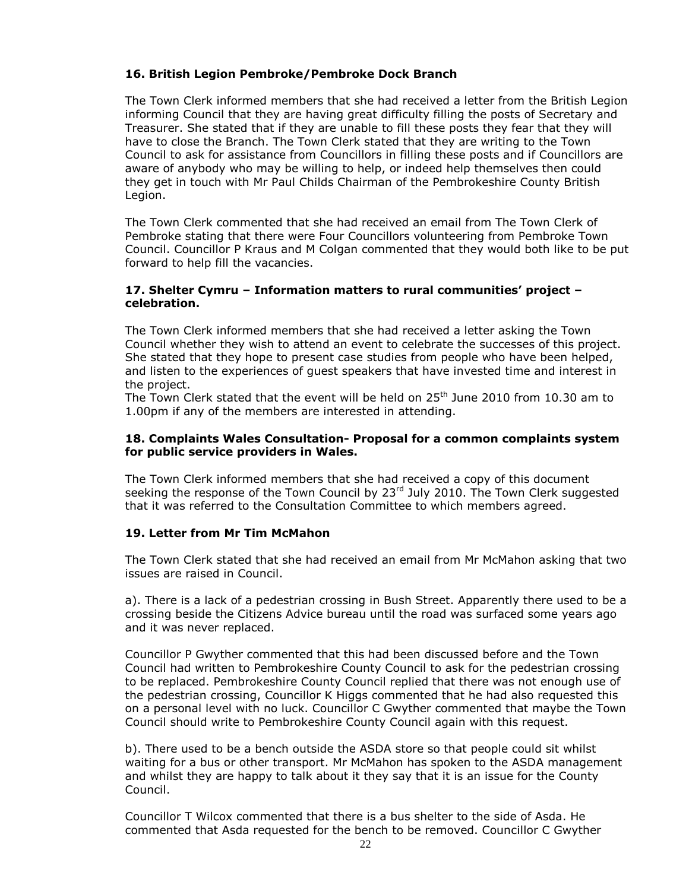## **16. British Legion Pembroke/Pembroke Dock Branch**

The Town Clerk informed members that she had received a letter from the British Legion informing Council that they are having great difficulty filling the posts of Secretary and Treasurer. She stated that if they are unable to fill these posts they fear that they will have to close the Branch. The Town Clerk stated that they are writing to the Town Council to ask for assistance from Councillors in filling these posts and if Councillors are aware of anybody who may be willing to help, or indeed help themselves then could they get in touch with Mr Paul Childs Chairman of the Pembrokeshire County British Legion.

The Town Clerk commented that she had received an email from The Town Clerk of Pembroke stating that there were Four Councillors volunteering from Pembroke Town Council. Councillor P Kraus and M Colgan commented that they would both like to be put forward to help fill the vacancies.

#### **17. Shelter Cymru – Information matters to rural communities' project – celebration.**

The Town Clerk informed members that she had received a letter asking the Town Council whether they wish to attend an event to celebrate the successes of this project. She stated that they hope to present case studies from people who have been helped, and listen to the experiences of guest speakers that have invested time and interest in the project.

The Town Clerk stated that the event will be held on 25<sup>th</sup> June 2010 from 10.30 am to 1.00pm if any of the members are interested in attending.

#### **18. Complaints Wales Consultation- Proposal for a common complaints system for public service providers in Wales.**

The Town Clerk informed members that she had received a copy of this document seeking the response of the Town Council by 23<sup>rd</sup> July 2010. The Town Clerk suggested that it was referred to the Consultation Committee to which members agreed.

## **19. Letter from Mr Tim McMahon**

The Town Clerk stated that she had received an email from Mr McMahon asking that two issues are raised in Council.

a). There is a lack of a pedestrian crossing in Bush Street. Apparently there used to be a crossing beside the Citizens Advice bureau until the road was surfaced some years ago and it was never replaced.

Councillor P Gwyther commented that this had been discussed before and the Town Council had written to Pembrokeshire County Council to ask for the pedestrian crossing to be replaced. Pembrokeshire County Council replied that there was not enough use of the pedestrian crossing, Councillor K Higgs commented that he had also requested this on a personal level with no luck. Councillor C Gwyther commented that maybe the Town Council should write to Pembrokeshire County Council again with this request.

b). There used to be a bench outside the ASDA store so that people could sit whilst waiting for a bus or other transport. Mr McMahon has spoken to the ASDA management and whilst they are happy to talk about it they say that it is an issue for the County Council.

Councillor T Wilcox commented that there is a bus shelter to the side of Asda. He commented that Asda requested for the bench to be removed. Councillor C Gwyther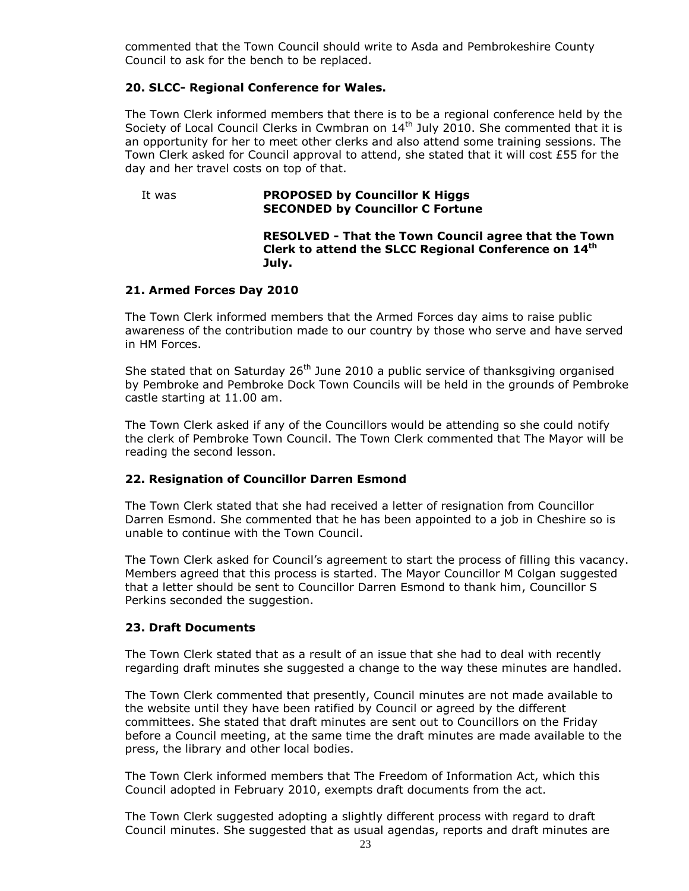commented that the Town Council should write to Asda and Pembrokeshire County Council to ask for the bench to be replaced.

## **20. SLCC- Regional Conference for Wales.**

The Town Clerk informed members that there is to be a regional conference held by the Society of Local Council Clerks in Cwmbran on 14<sup>th</sup> July 2010. She commented that it is an opportunity for her to meet other clerks and also attend some training sessions. The Town Clerk asked for Council approval to attend, she stated that it will cost £55 for the day and her travel costs on top of that.

#### It was **PROPOSED by Councillor K Higgs SECONDED by Councillor C Fortune**

#### **RESOLVED - That the Town Council agree that the Town Clerk to attend the SLCC Regional Conference on 14th July.**

## **21. Armed Forces Day 2010**

The Town Clerk informed members that the Armed Forces day aims to raise public awareness of the contribution made to our country by those who serve and have served in HM Forces.

She stated that on Saturday  $26<sup>th</sup>$  June 2010 a public service of thanksgiving organised by Pembroke and Pembroke Dock Town Councils will be held in the grounds of Pembroke castle starting at 11.00 am.

The Town Clerk asked if any of the Councillors would be attending so she could notify the clerk of Pembroke Town Council. The Town Clerk commented that The Mayor will be reading the second lesson.

## **22. Resignation of Councillor Darren Esmond**

The Town Clerk stated that she had received a letter of resignation from Councillor Darren Esmond. She commented that he has been appointed to a job in Cheshire so is unable to continue with the Town Council.

The Town Clerk asked for Council's agreement to start the process of filling this vacancy. Members agreed that this process is started. The Mayor Councillor M Colgan suggested that a letter should be sent to Councillor Darren Esmond to thank him, Councillor S Perkins seconded the suggestion.

#### **23. Draft Documents**

The Town Clerk stated that as a result of an issue that she had to deal with recently regarding draft minutes she suggested a change to the way these minutes are handled.

The Town Clerk commented that presently, Council minutes are not made available to the website until they have been ratified by Council or agreed by the different committees. She stated that draft minutes are sent out to Councillors on the Friday before a Council meeting, at the same time the draft minutes are made available to the press, the library and other local bodies.

The Town Clerk informed members that The Freedom of Information Act, which this Council adopted in February 2010, exempts draft documents from the act.

The Town Clerk suggested adopting a slightly different process with regard to draft Council minutes. She suggested that as usual agendas, reports and draft minutes are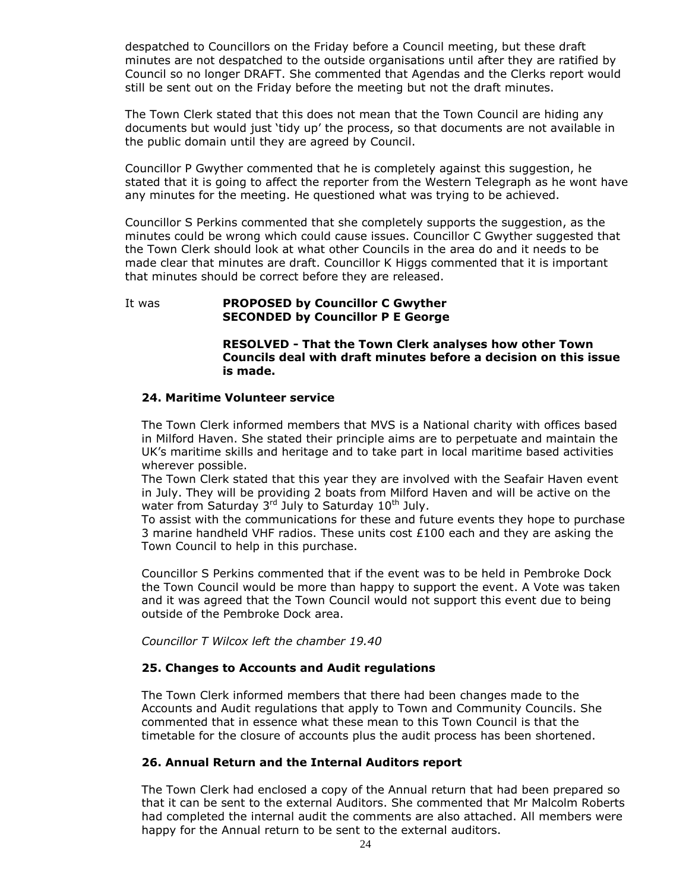despatched to Councillors on the Friday before a Council meeting, but these draft minutes are not despatched to the outside organisations until after they are ratified by Council so no longer DRAFT. She commented that Agendas and the Clerks report would still be sent out on the Friday before the meeting but not the draft minutes.

The Town Clerk stated that this does not mean that the Town Council are hiding any documents but would just 'tidy up' the process, so that documents are not available in the public domain until they are agreed by Council.

Councillor P Gwyther commented that he is completely against this suggestion, he stated that it is going to affect the reporter from the Western Telegraph as he wont have any minutes for the meeting. He questioned what was trying to be achieved.

Councillor S Perkins commented that she completely supports the suggestion, as the minutes could be wrong which could cause issues. Councillor C Gwyther suggested that the Town Clerk should look at what other Councils in the area do and it needs to be made clear that minutes are draft. Councillor K Higgs commented that it is important that minutes should be correct before they are released.

## It was **PROPOSED by Councillor C Gwyther SECONDED by Councillor P E George**

#### **RESOLVED - That the Town Clerk analyses how other Town Councils deal with draft minutes before a decision on this issue is made.**

## **24. Maritime Volunteer service**

The Town Clerk informed members that MVS is a National charity with offices based in Milford Haven. She stated their principle aims are to perpetuate and maintain the UK's maritime skills and heritage and to take part in local maritime based activities wherever possible.

The Town Clerk stated that this year they are involved with the Seafair Haven event in July. They will be providing 2 boats from Milford Haven and will be active on the water from Saturday 3<sup>rd</sup> July to Saturday 10<sup>th</sup> July.

To assist with the communications for these and future events they hope to purchase 3 marine handheld VHF radios. These units cost  $£100$  each and they are asking the Town Council to help in this purchase.

Councillor S Perkins commented that if the event was to be held in Pembroke Dock the Town Council would be more than happy to support the event. A Vote was taken and it was agreed that the Town Council would not support this event due to being outside of the Pembroke Dock area.

*Councillor T Wilcox left the chamber 19.40*

## **25. Changes to Accounts and Audit regulations**

The Town Clerk informed members that there had been changes made to the Accounts and Audit regulations that apply to Town and Community Councils. She commented that in essence what these mean to this Town Council is that the timetable for the closure of accounts plus the audit process has been shortened.

#### **26. Annual Return and the Internal Auditors report**

The Town Clerk had enclosed a copy of the Annual return that had been prepared so that it can be sent to the external Auditors. She commented that Mr Malcolm Roberts had completed the internal audit the comments are also attached. All members were happy for the Annual return to be sent to the external auditors.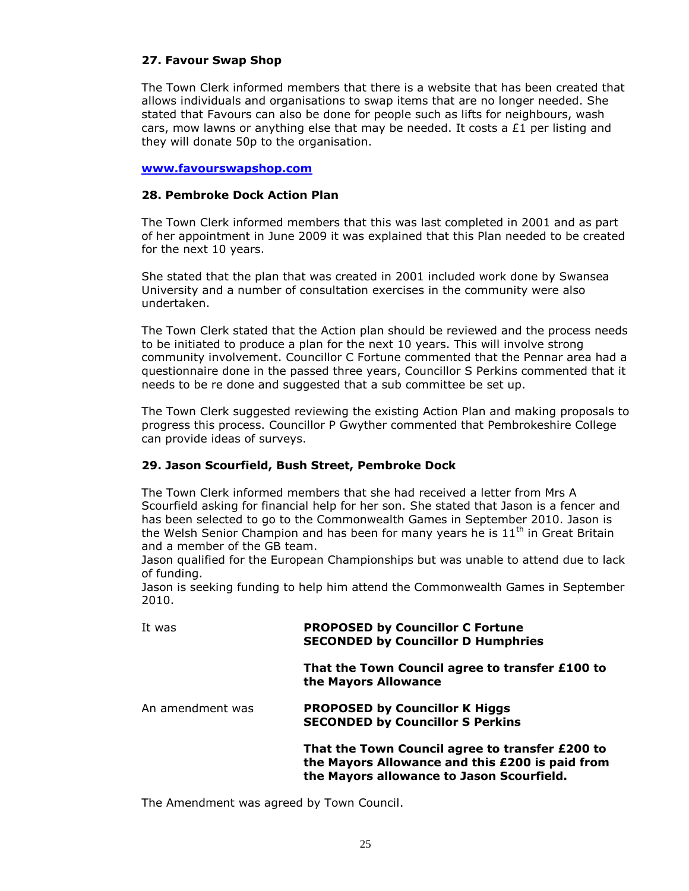## **27. Favour Swap Shop**

The Town Clerk informed members that there is a website that has been created that allows individuals and organisations to swap items that are no longer needed. She stated that Favours can also be done for people such as lifts for neighbours, wash cars, mow lawns or anything else that may be needed. It costs a  $£1$  per listing and they will donate 50p to the organisation.

#### **[www.favourswapshop.com](http://www.favourswapshop.com/)**

## **28. Pembroke Dock Action Plan**

The Town Clerk informed members that this was last completed in 2001 and as part of her appointment in June 2009 it was explained that this Plan needed to be created for the next 10 years.

She stated that the plan that was created in 2001 included work done by Swansea University and a number of consultation exercises in the community were also undertaken.

The Town Clerk stated that the Action plan should be reviewed and the process needs to be initiated to produce a plan for the next 10 years. This will involve strong community involvement. Councillor C Fortune commented that the Pennar area had a questionnaire done in the passed three years, Councillor S Perkins commented that it needs to be re done and suggested that a sub committee be set up.

The Town Clerk suggested reviewing the existing Action Plan and making proposals to progress this process. Councillor P Gwyther commented that Pembrokeshire College can provide ideas of surveys.

## **29. Jason Scourfield, Bush Street, Pembroke Dock**

The Town Clerk informed members that she had received a letter from Mrs A Scourfield asking for financial help for her son. She stated that Jason is a fencer and has been selected to go to the Commonwealth Games in September 2010. Jason is the Welsh Senior Champion and has been for many years he is  $11<sup>th</sup>$  in Great Britain and a member of the GB team.

Jason qualified for the European Championships but was unable to attend due to lack of funding.

Jason is seeking funding to help him attend the Commonwealth Games in September 2010.

| It was           | <b>PROPOSED by Councillor C Fortune</b><br><b>SECONDED by Councillor D Humphries</b>                                                            |
|------------------|-------------------------------------------------------------------------------------------------------------------------------------------------|
|                  | That the Town Council agree to transfer £100 to<br>the Mayors Allowance                                                                         |
| An amendment was | <b>PROPOSED by Councillor K Higgs</b><br><b>SECONDED by Councillor S Perkins</b>                                                                |
|                  | That the Town Council agree to transfer £200 to<br>the Mayors Allowance and this £200 is paid from<br>the Mayors allowance to Jason Scourfield. |

The Amendment was agreed by Town Council.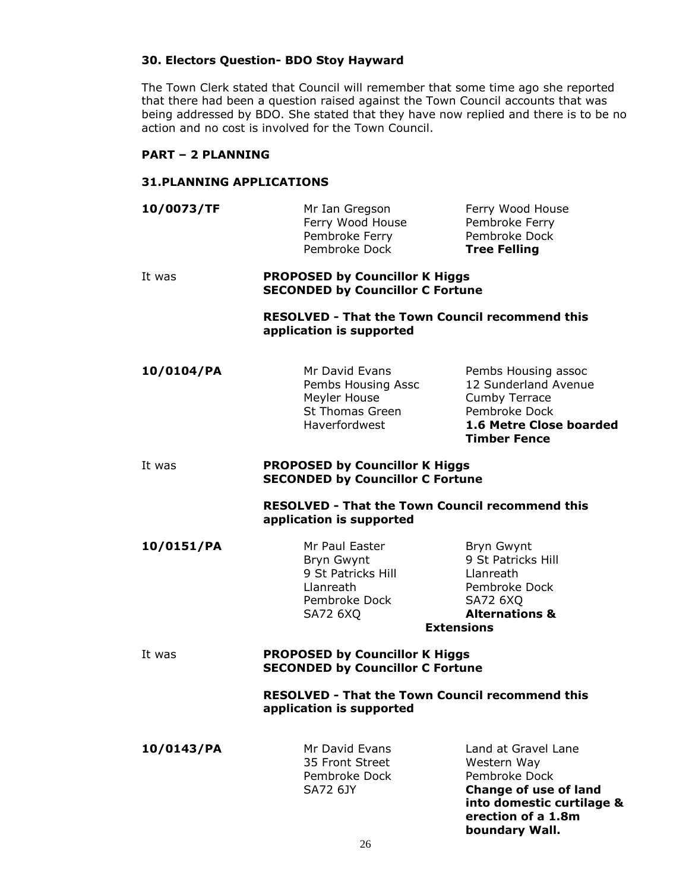#### **30. Electors Question- BDO Stoy Hayward**

The Town Clerk stated that Council will remember that some time ago she reported that there had been a question raised against the Town Council accounts that was being addressed by BDO. She stated that they have now replied and there is to be no action and no cost is involved for the Town Council.

## **PART – 2 PLANNING**

#### **31.PLANNING APPLICATIONS**

| 10/0073/TF | Mr Ian Gregson   | Ferry Wood House    |
|------------|------------------|---------------------|
|            | Ferry Wood House | Pembroke Ferry      |
|            | Pembroke Ferry   | Pembroke Dock       |
|            | Pembroke Dock    | <b>Tree Felling</b> |
|            |                  |                     |

#### It was **PROPOSED by Councillor K Higgs SECONDED by Councillor C Fortune**

**RESOLVED - That the Town Council recommend this application is supported**

| 10/0104/PA | Mr David Evans         | Pembs Housing assoc                            |
|------------|------------------------|------------------------------------------------|
|            | Pembs Housing Assc     | 12 Sunderland Avenue                           |
|            | Meyler House           | <b>Cumby Terrace</b>                           |
|            | <b>St Thomas Green</b> | Pembroke Dock                                  |
|            | Haverfordwest          | 1.6 Metre Close boarded<br><b>Timber Fence</b> |

#### It was **PROPOSED by Councillor K Higgs SECONDED by Councillor C Fortune**

**RESOLVED - That the Town Council recommend this application is supported**

| 10/0151/PA | Mr Paul Easter     | Bryn Gwynt                |
|------------|--------------------|---------------------------|
|            | Bryn Gwynt         | 9 St Patricks Hill        |
|            | 9 St Patricks Hill | Llanreath                 |
|            | Llanreath          | Pembroke Dock             |
|            | Pembroke Dock      | SA72 6XQ                  |
|            | <b>SA72 6XQ</b>    | <b>Alternations &amp;</b> |
|            |                    | <b>Extensions</b>         |

#### It was **PROPOSED by Councillor K Higgs SECONDED by Councillor C Fortune**

## **RESOLVED - That the Town Council recommend this application is supported**

35 Front Street Western Way

**10/0143/PA** Mr David Evans Land at Gravel Lane Pembroke Dock Pembroke Dock SA72 6JY **Change of use of land into domestic curtilage & erection of a 1.8m boundary Wall.**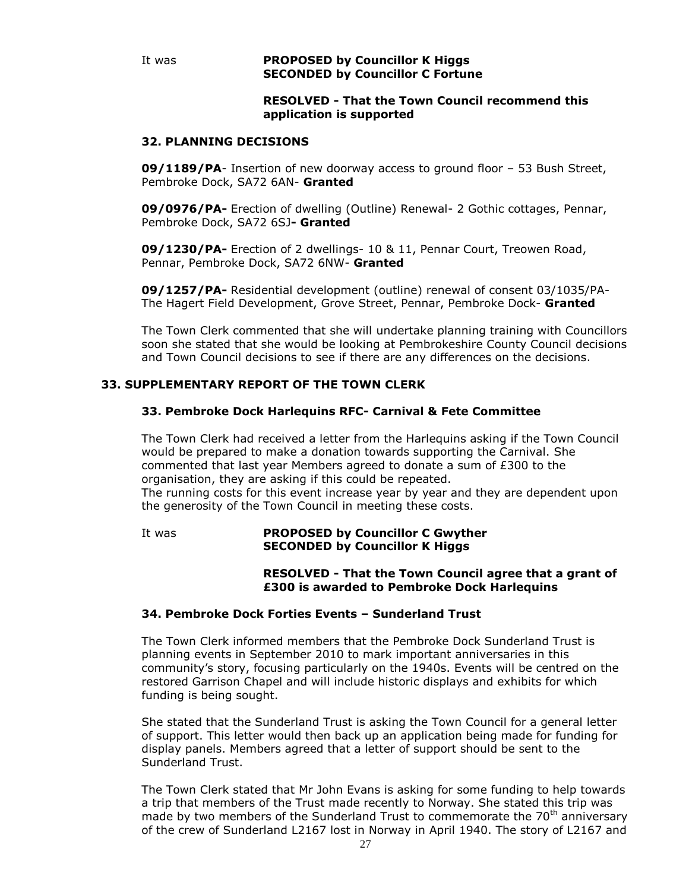#### **RESOLVED - That the Town Council recommend this application is supported**

#### **32. PLANNING DECISIONS**

**09/1189/PA**- Insertion of new doorway access to ground floor – 53 Bush Street, Pembroke Dock, SA72 6AN- **Granted**

**09/0976/PA-** Erection of dwelling (Outline) Renewal- 2 Gothic cottages, Pennar, Pembroke Dock, SA72 6SJ**- Granted**

**09/1230/PA-** Erection of 2 dwellings- 10 & 11, Pennar Court, Treowen Road, Pennar, Pembroke Dock, SA72 6NW- **Granted**

**09/1257/PA-** Residential development (outline) renewal of consent 03/1035/PA-The Hagert Field Development, Grove Street, Pennar, Pembroke Dock- **Granted**

The Town Clerk commented that she will undertake planning training with Councillors soon she stated that she would be looking at Pembrokeshire County Council decisions and Town Council decisions to see if there are any differences on the decisions.

## **33. SUPPLEMENTARY REPORT OF THE TOWN CLERK**

#### **33. Pembroke Dock Harlequins RFC- Carnival & Fete Committee**

The Town Clerk had received a letter from the Harlequins asking if the Town Council would be prepared to make a donation towards supporting the Carnival. She commented that last year Members agreed to donate a sum of £300 to the organisation, they are asking if this could be repeated. The running costs for this event increase year by year and they are dependent upon the generosity of the Town Council in meeting these costs.

It was **PROPOSED by Councillor C Gwyther SECONDED by Councillor K Higgs**

#### **RESOLVED - That the Town Council agree that a grant of £300 is awarded to Pembroke Dock Harlequins**

## **34. Pembroke Dock Forties Events – Sunderland Trust**

The Town Clerk informed members that the Pembroke Dock Sunderland Trust is planning events in September 2010 to mark important anniversaries in this community's story, focusing particularly on the 1940s. Events will be centred on the restored Garrison Chapel and will include historic displays and exhibits for which funding is being sought.

She stated that the Sunderland Trust is asking the Town Council for a general letter of support. This letter would then back up an application being made for funding for display panels. Members agreed that a letter of support should be sent to the Sunderland Trust.

The Town Clerk stated that Mr John Evans is asking for some funding to help towards a trip that members of the Trust made recently to Norway. She stated this trip was made by two members of the Sunderland Trust to commemorate the 70<sup>th</sup> anniversary of the crew of Sunderland L2167 lost in Norway in April 1940. The story of L2167 and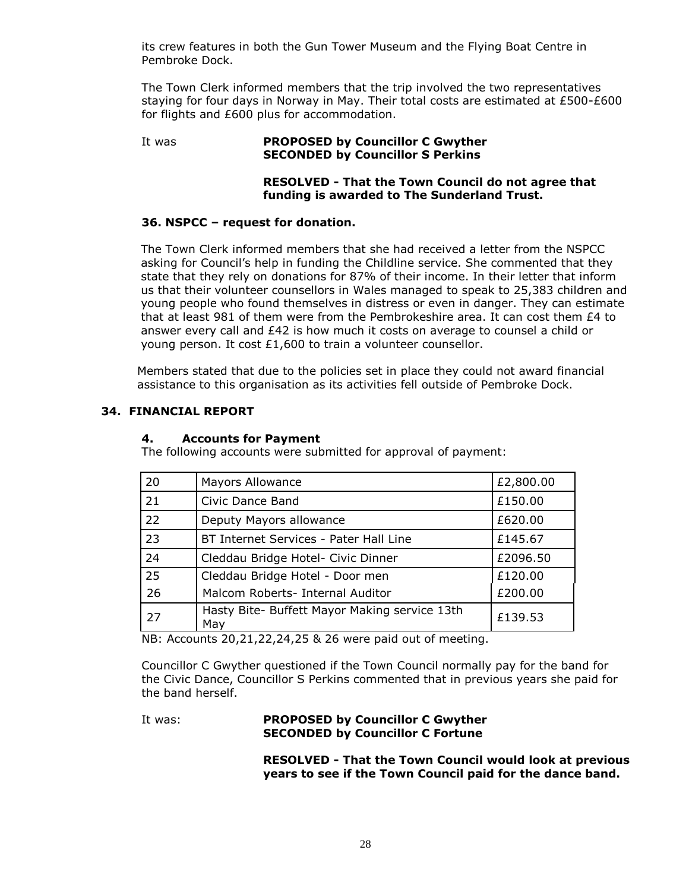its crew features in both the Gun Tower Museum and the Flying Boat Centre in Pembroke Dock.

The Town Clerk informed members that the trip involved the two representatives staying for four days in Norway in May. Their total costs are estimated at  $£500-E600$ for flights and £600 plus for accommodation.

#### It was **PROPOSED by Councillor C Gwyther SECONDED by Councillor S Perkins**

## **RESOLVED - That the Town Council do not agree that funding is awarded to The Sunderland Trust.**

## **36. NSPCC – request for donation.**

The Town Clerk informed members that she had received a letter from the NSPCC asking for Council's help in funding the Childline service. She commented that they state that they rely on donations for 87% of their income. In their letter that inform us that their volunteer counsellors in Wales managed to speak to 25,383 children and young people who found themselves in distress or even in danger. They can estimate that at least 981 of them were from the Pembrokeshire area. It can cost them  $E4$  to answer every call and £42 is how much it costs on average to counsel a child or young person. It cost £1,600 to train a volunteer counsellor.

Members stated that due to the policies set in place they could not award financial assistance to this organisation as its activities fell outside of Pembroke Dock.

## **34. FINANCIAL REPORT**

## **4. Accounts for Payment**

The following accounts were submitted for approval of payment:

| 20              | <b>Mayors Allowance</b>                              | £2,800.00 |
|-----------------|------------------------------------------------------|-----------|
| 21              | Civic Dance Band                                     | £150.00   |
| 22              | Deputy Mayors allowance                              | £620.00   |
| 23              | BT Internet Services - Pater Hall Line               | £145.67   |
| 24              | Cleddau Bridge Hotel- Civic Dinner                   | £2096.50  |
| $\overline{25}$ | Cleddau Bridge Hotel - Door men                      | £120.00   |
| 26              | Malcom Roberts- Internal Auditor                     | £200.00   |
| 27              | Hasty Bite- Buffett Mayor Making service 13th<br>May | £139.53   |

NB: Accounts 20,21,22,24,25 & 26 were paid out of meeting.

Councillor C Gwyther questioned if the Town Council normally pay for the band for the Civic Dance, Councillor S Perkins commented that in previous years she paid for the band herself.

## It was: **PROPOSED by Councillor C Gwyther SECONDED by Councillor C Fortune**

**RESOLVED - That the Town Council would look at previous years to see if the Town Council paid for the dance band.**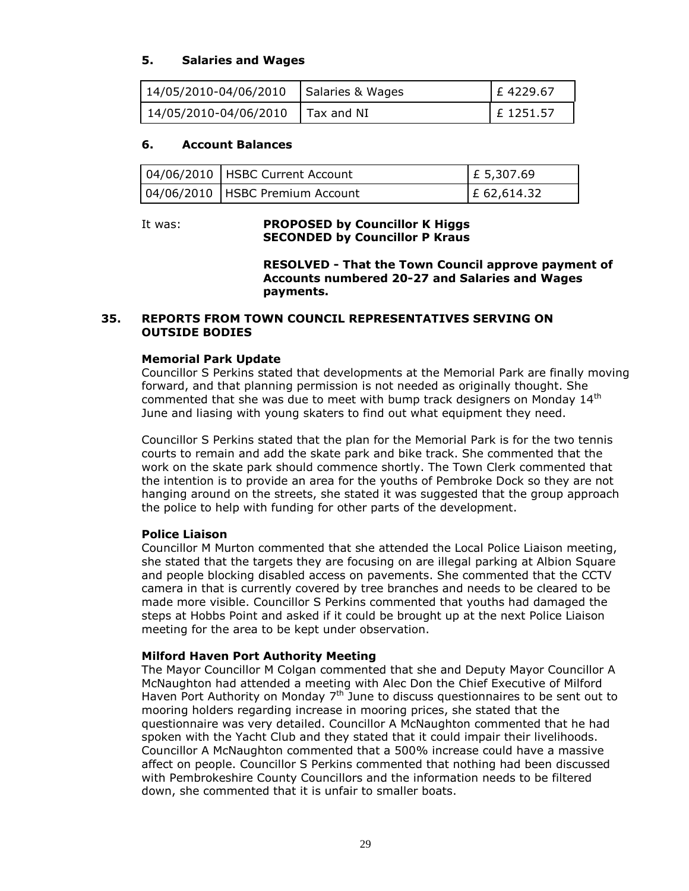## **5. Salaries and Wages**

| 14/05/2010-04/06/2010     | Salaries & Wages | E 4229.67   |
|---------------------------|------------------|-------------|
| $14/05/2010 - 04/06/2010$ | Tax and NI       | $E$ 1251.57 |

#### **6. Account Balances**

| 04/06/2010   HSBC Current Account | $E$ 5,307.69 |
|-----------------------------------|--------------|
| 04/06/2010   HSBC Premium Account | £ 62,614.32  |

## It was: **PROPOSED by Councillor K Higgs SECONDED by Councillor P Kraus**

**RESOLVED - That the Town Council approve payment of Accounts numbered 20-27 and Salaries and Wages payments.**

#### **35. REPORTS FROM TOWN COUNCIL REPRESENTATIVES SERVING ON OUTSIDE BODIES**

#### **Memorial Park Update**

Councillor S Perkins stated that developments at the Memorial Park are finally moving forward, and that planning permission is not needed as originally thought. She commented that she was due to meet with bump track designers on Mondav 14<sup>th</sup> June and liasing with young skaters to find out what equipment they need.

Councillor S Perkins stated that the plan for the Memorial Park is for the two tennis courts to remain and add the skate park and bike track. She commented that the work on the skate park should commence shortly. The Town Clerk commented that the intention is to provide an area for the youths of Pembroke Dock so they are not hanging around on the streets, she stated it was suggested that the group approach the police to help with funding for other parts of the development.

#### **Police Liaison**

Councillor M Murton commented that she attended the Local Police Liaison meeting, she stated that the targets they are focusing on are illegal parking at Albion Square and people blocking disabled access on pavements. She commented that the CCTV camera in that is currently covered by tree branches and needs to be cleared to be made more visible. Councillor S Perkins commented that youths had damaged the steps at Hobbs Point and asked if it could be brought up at the next Police Liaison meeting for the area to be kept under observation.

#### **Milford Haven Port Authority Meeting**

The Mayor Councillor M Colgan commented that she and Deputy Mayor Councillor A McNaughton had attended a meeting with Alec Don the Chief Executive of Milford Haven Port Authority on Monday  $7<sup>th</sup>$  June to discuss questionnaires to be sent out to mooring holders regarding increase in mooring prices, she stated that the questionnaire was very detailed. Councillor A McNaughton commented that he had spoken with the Yacht Club and they stated that it could impair their livelihoods. Councillor A McNaughton commented that a 500% increase could have a massive affect on people. Councillor S Perkins commented that nothing had been discussed with Pembrokeshire County Councillors and the information needs to be filtered down, she commented that it is unfair to smaller boats.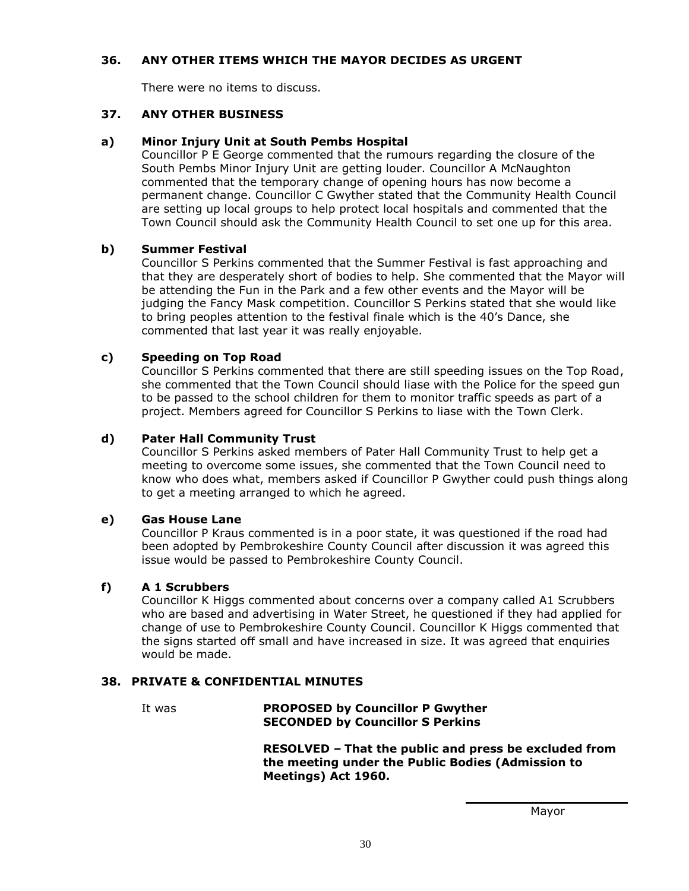## **36. ANY OTHER ITEMS WHICH THE MAYOR DECIDES AS URGENT**

There were no items to discuss.

## **37. ANY OTHER BUSINESS**

## **a) Minor Injury Unit at South Pembs Hospital**

Councillor P E George commented that the rumours regarding the closure of the South Pembs Minor Injury Unit are getting louder. Councillor A McNaughton commented that the temporary change of opening hours has now become a permanent change. Councillor C Gwyther stated that the Community Health Council are setting up local groups to help protect local hospitals and commented that the Town Council should ask the Community Health Council to set one up for this area.

## **b) Summer Festival**

Councillor S Perkins commented that the Summer Festival is fast approaching and that they are desperately short of bodies to help. She commented that the Mayor will be attending the Fun in the Park and a few other events and the Mayor will be judging the Fancy Mask competition. Councillor S Perkins stated that she would like to bring peoples attention to the festival finale which is the 40's Dance, she commented that last year it was really enjoyable.

## **c) Speeding on Top Road**

Councillor S Perkins commented that there are still speeding issues on the Top Road, she commented that the Town Council should liase with the Police for the speed gun to be passed to the school children for them to monitor traffic speeds as part of a project. Members agreed for Councillor S Perkins to liase with the Town Clerk.

## **d) Pater Hall Community Trust**

Councillor S Perkins asked members of Pater Hall Community Trust to help get a meeting to overcome some issues, she commented that the Town Council need to know who does what, members asked if Councillor P Gwyther could push things along to get a meeting arranged to which he agreed.

#### **e) Gas House Lane**

Councillor P Kraus commented is in a poor state, it was questioned if the road had been adopted by Pembrokeshire County Council after discussion it was agreed this issue would be passed to Pembrokeshire County Council.

## **f) A 1 Scrubbers**

Councillor K Higgs commented about concerns over a company called A1 Scrubbers who are based and advertising in Water Street, he questioned if they had applied for change of use to Pembrokeshire County Council. Councillor K Higgs commented that the signs started off small and have increased in size. It was agreed that enquiries would be made.

#### **38. PRIVATE & CONFIDENTIAL MINUTES**

It was **PROPOSED by Councillor P Gwyther SECONDED by Councillor S Perkins**

> **RESOLVED – That the public and press be excluded from the meeting under the Public Bodies (Admission to Meetings) Act 1960.**

> > Mayor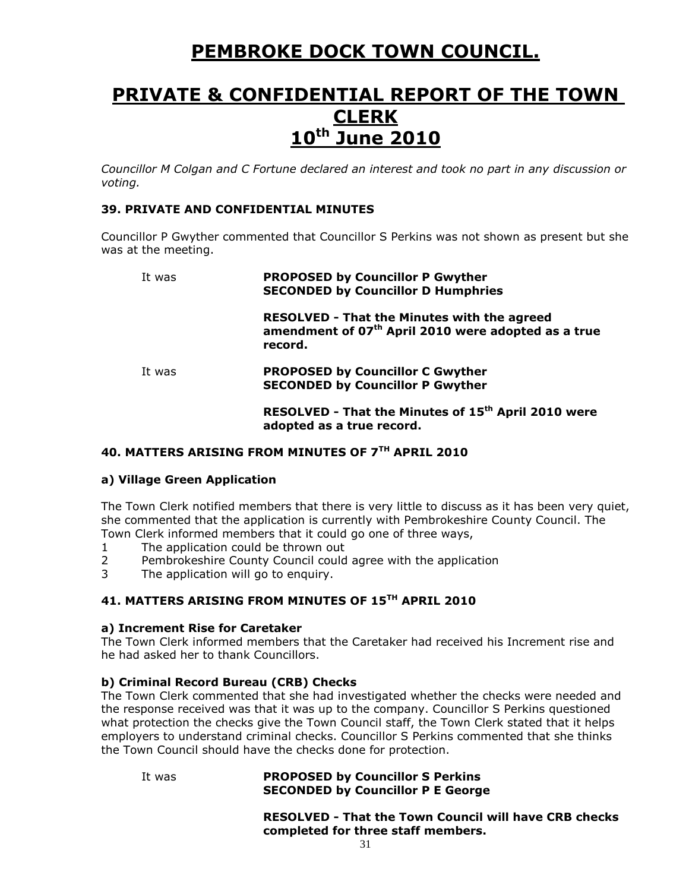# **PEMBROKE DOCK TOWN COUNCIL.**

# **PRIVATE & CONFIDENTIAL REPORT OF THE TOWN CLERK 10th June 2010**

*Councillor M Colgan and C Fortune declared an interest and took no part in any discussion or voting.*

#### **39. PRIVATE AND CONFIDENTIAL MINUTES**

Councillor P Gwyther commented that Councillor S Perkins was not shown as present but she was at the meeting.

# It was **PROPOSED by Councillor P Gwyther SECONDED by Councillor D Humphries**

**RESOLVED - That the Minutes with the agreed amendment of 07th April 2010 were adopted as a true record.**

It was **PROPOSED by Councillor C Gwyther SECONDED by Councillor P Gwyther** 

> **RESOLVED - That the Minutes of 15th April 2010 were adopted as a true record.**

## **40. MATTERS ARISING FROM MINUTES OF 7TH APRIL 2010**

#### **a) Village Green Application**

The Town Clerk notified members that there is very little to discuss as it has been very quiet, she commented that the application is currently with Pembrokeshire County Council. The Town Clerk informed members that it could go one of three ways,

- 1 The application could be thrown out
- 2 Pembrokeshire County Council could agree with the application
- 3 The application will go to enquiry.

## **41. MATTERS ARISING FROM MINUTES OF 15TH APRIL 2010**

#### **a) Increment Rise for Caretaker**

The Town Clerk informed members that the Caretaker had received his Increment rise and he had asked her to thank Councillors.

#### **b) Criminal Record Bureau (CRB) Checks**

The Town Clerk commented that she had investigated whether the checks were needed and the response received was that it was up to the company. Councillor S Perkins questioned what protection the checks give the Town Council staff, the Town Clerk stated that it helps employers to understand criminal checks. Councillor S Perkins commented that she thinks the Town Council should have the checks done for protection.

It was **PROPOSED by Councillor S Perkins SECONDED by Councillor P E George** 

> **RESOLVED - That the Town Council will have CRB checks completed for three staff members.**